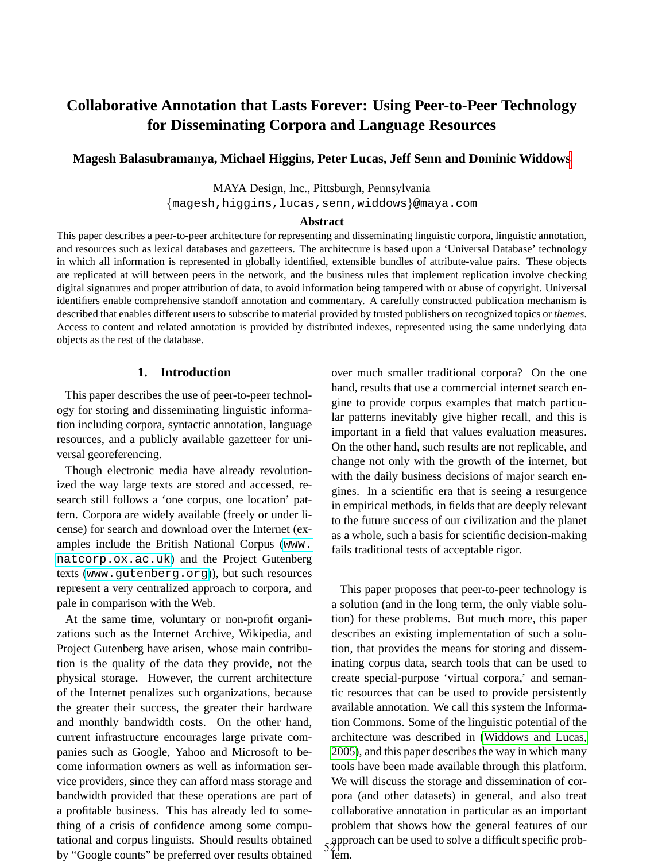# **Collaborative Annotation that Lasts Forever: Using Peer-to-Peer Technology for Disseminating Corpora and Language Resources**

### **Magesh Balasubramanya, Michael Higgins, Peter Lucas, Jeff Senn and Dominic Widdows**

MAYA Design, Inc., Pittsburgh, Pennsylvania

{magesh,higgins,lucas,senn,widdows}@maya.com

#### **Abstract**

This paper describes a peer-to-peer architecture for representing and disseminating linguistic corpora, linguistic annotation, and resources such as lexical databases and gazetteers. The architecture is based upon a 'Universal Database' technology in which all information is represented in globally identified, extensible bundles of attribute-value pairs. These objects are replicated at will between peers in the network, and the business rules that implement replication involve checking digital signatures and proper attribution of data, to avoid information being tampered with or abuse of copyright. Universal identifiers enable comprehensive standoff annotation and commentary. A carefully constructed publication mechanism is described that enables different users to subscribe to material provided by trusted publishers on recognized topics or *themes*. Access to content and related annotation is provided by distributed indexes, represented using the same underlying data objects as the rest of the database.

### **1. Introduction**

This paper describes the use of peer-to-peer technology for storing and disseminating linguistic information including corpora, syntactic annotation, language resources, and a publicly available gazetteer for universal georeferencing.

Though electronic media have already revolutionized the way large texts are stored and accessed, research still follows a 'one corpus, one location' pattern. Corpora are widely available (freely or under license) for search and download over the Internet (examples include the British National Corpus ([www.](www.natcorp.ox.ac.uk) [natcorp.ox.ac.uk](www.natcorp.ox.ac.uk)) and the Project Gutenberg texts (<www.gutenberg.org>)), but such resources represent a very centralized approach to corpora, and pale in comparison with the Web.

At the same time, voluntary or non-profit organizations such as the Internet Archive, Wikipedia, and Project Gutenberg have arisen, whose main contribution is the quality of the data they provide, not the physical storage. However, the current architecture of the Internet penalizes such organizations, because the greater their success, the greater their hardware and monthly bandwidth costs. On the other hand, current infrastructure encourages large private companies such as Google, Yahoo and Microsoft to become information owners as well as information service providers, since they can afford mass storage and bandwidth provided that these operations are part of a profitable business. This has already led to something of a crisis of confidence among some computational and corpus linguists. Should results obtained by "Google counts" be preferred over results obtained over much smaller traditional corpora? On the one hand, results that use a commercial internet search engine to provide corpus examples that match particular patterns inevitably give higher recall, and this is important in a field that values evaluation measures. On the other hand, such results are not replicable, and change not only with the growth of the internet, but with the daily business decisions of major search engines. In a scientific era that is seeing a resurgence in empirical methods, in fields that are deeply relevant to the future success of our civilization and the planet as a whole, such a basis for scientific decision-making fails traditional tests of acceptable rigor.

This paper proposes that peer-to-peer technology is a solution (and in the long term, the only viable solution) for these problems. But much more, this paper describes an existing implementation of such a solution, that provides the means for storing and disseminating corpus data, search tools that can be used to create special-purpose 'virtual corpora,' and semantic resources that can be used to provide persistently available annotation. We call this system the Information Commons. Some of the linguistic potential of the architecture was described in [\(Widdows and Lucas,](#page-5-0) [2005\)](#page-5-0), and this paper describes the way in which many tools have been made available through this platform. We will discuss the storage and dissemination of corpora (and other datasets) in general, and also treat collaborative annotation in particular as an important problem that shows how the general features of our approach can be used to solve a difficult specific prob-Tem.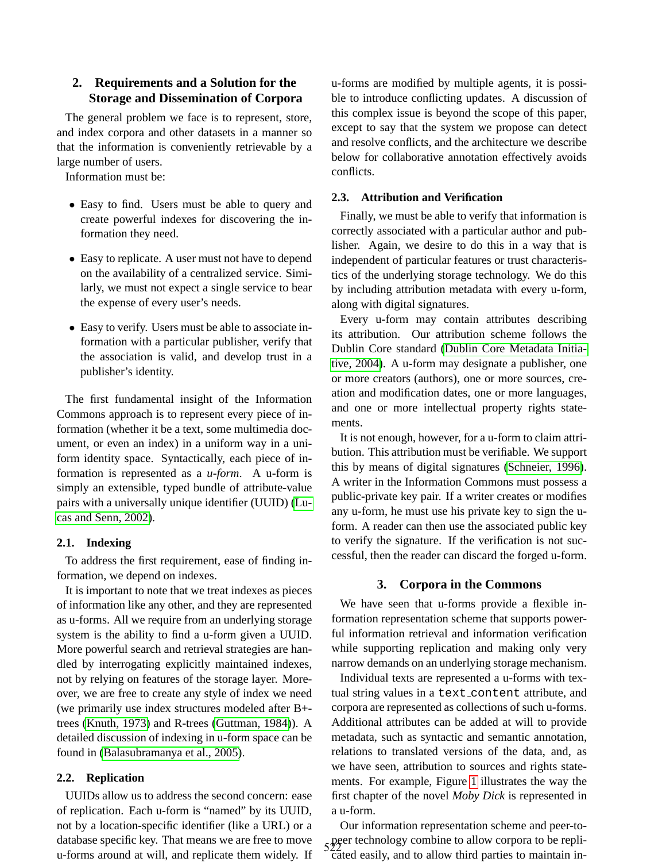### **2. Requirements and a Solution for the Storage and Dissemination of Corpora**

The general problem we face is to represent, store, and index corpora and other datasets in a manner so that the information is conveniently retrievable by a large number of users.

Information must be:

- Easy to find. Users must be able to query and create powerful indexes for discovering the information they need.
- Easy to replicate. A user must not have to depend on the availability of a centralized service. Similarly, we must not expect a single service to bear the expense of every user's needs.
- Easy to verify. Users must be able to associate information with a particular publisher, verify that the association is valid, and develop trust in a publisher's identity.

The first fundamental insight of the Information Commons approach is to represent every piece of information (whether it be a text, some multimedia document, or even an index) in a uniform way in a uniform identity space. Syntactically, each piece of information is represented as a *u-form*. A u-form is simply an extensible, typed bundle of attribute-value pairs with a universally unique identifier (UUID) [\(Lu](#page-5-1)[cas and Senn, 2002\)](#page-5-1).

#### **2.1. Indexing**

To address the first requirement, ease of finding information, we depend on indexes.

It is important to note that we treat indexes as pieces of information like any other, and they are represented as u-forms. All we require from an underlying storage system is the ability to find a u-form given a UUID. More powerful search and retrieval strategies are handled by interrogating explicitly maintained indexes, not by relying on features of the storage layer. Moreover, we are free to create any style of index we need (we primarily use index structures modeled after B+ trees [\(Knuth, 1973\)](#page-5-2) and R-trees [\(Guttman, 1984\)](#page-5-3)). A detailed discussion of indexing in u-form space can be found in [\(Balasubramanya et al., 2005\)](#page-5-4).

### **2.2. Replication**

UUIDs allow us to address the second concern: ease of replication. Each u-form is "named" by its UUID, not by a location-specific identifier (like a URL) or a database specific key. That means we are free to move u-forms around at will, and replicate them widely. If

u-forms are modified by multiple agents, it is possible to introduce conflicting updates. A discussion of this complex issue is beyond the scope of this paper, except to say that the system we propose can detect and resolve conflicts, and the architecture we describe below for collaborative annotation effectively avoids conflicts.

### <span id="page-1-0"></span>**2.3. Attribution and Verification**

Finally, we must be able to verify that information is correctly associated with a particular author and publisher. Again, we desire to do this in a way that is independent of particular features or trust characteristics of the underlying storage technology. We do this by including attribution metadata with every u-form, along with digital signatures.

Every u-form may contain attributes describing its attribution. Our attribution scheme follows the Dublin Core standard [\(Dublin Core Metadata Initia](#page-5-5)[tive, 2004\)](#page-5-5). A u-form may designate a publisher, one or more creators (authors), one or more sources, creation and modification dates, one or more languages, and one or more intellectual property rights statements.

It is not enough, however, for a u-form to claim attribution. This attribution must be verifiable. We support this by means of digital signatures [\(Schneier, 1996\)](#page-5-6). A writer in the Information Commons must possess a public-private key pair. If a writer creates or modifies any u-form, he must use his private key to sign the uform. A reader can then use the associated public key to verify the signature. If the verification is not successful, then the reader can discard the forged u-form.

#### **3. Corpora in the Commons**

We have seen that u-forms provide a flexible information representation scheme that supports powerful information retrieval and information verification while supporting replication and making only very narrow demands on an underlying storage mechanism.

Individual texts are represented a u-forms with textual string values in a text\_content attribute, and corpora are represented as collections of such u-forms. Additional attributes can be added at will to provide metadata, such as syntactic and semantic annotation, relations to translated versions of the data, and, as we have seen, attribution to sources and rights statements. For example, Figure [1](#page-2-0) illustrates the way the first chapter of the novel *Moby Dick* is represented in a u-form.

Our information representation scheme and peer-topeer technology combine to allow corpora to be replicated easily, and to allow third parties to maintain in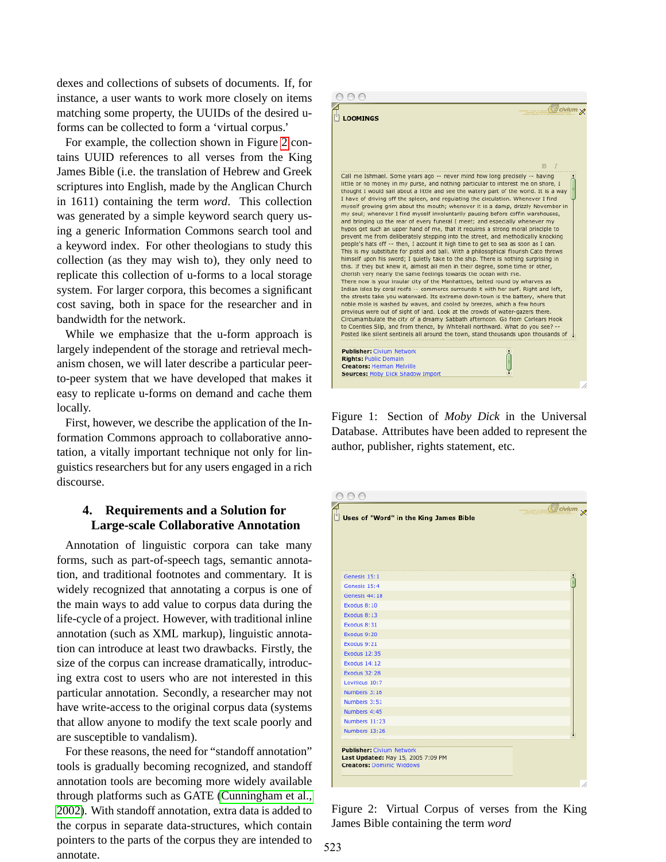dexes and collections of subsets of documents. If, for instance, a user wants to work more closely on items matching some property, the UUIDs of the desired uforms can be collected to form a 'virtual corpus.'

For example, the collection shown in Figure [2](#page-2-1) contains UUID references to all verses from the King James Bible (i.e. the translation of Hebrew and Greek scriptures into English, made by the Anglican Church in 1611) containing the term *word*. This collection was generated by a simple keyword search query using a generic Information Commons search tool and a keyword index. For other theologians to study this collection (as they may wish to), they only need to replicate this collection of u-forms to a local storage system. For larger corpora, this becomes a significant cost saving, both in space for the researcher and in bandwidth for the network.

While we emphasize that the u-form approach is largely independent of the storage and retrieval mechanism chosen, we will later describe a particular peerto-peer system that we have developed that makes it easy to replicate u-forms on demand and cache them locally.

First, however, we describe the application of the Information Commons approach to collaborative annotation, a vitally important technique not only for linguistics researchers but for any users engaged in a rich discourse.

# **4. Requirements and a Solution for Large-scale Collaborative Annotation**

Annotation of linguistic corpora can take many forms, such as part-of-speech tags, semantic annotation, and traditional footnotes and commentary. It is widely recognized that annotating a corpus is one of the main ways to add value to corpus data during the life-cycle of a project. However, with traditional inline annotation (such as XML markup), linguistic annotation can introduce at least two drawbacks. Firstly, the size of the corpus can increase dramatically, introducing extra cost to users who are not interested in this particular annotation. Secondly, a researcher may not have write-access to the original corpus data (systems that allow anyone to modify the text scale poorly and are susceptible to vandalism).

For these reasons, the need for "standoff annotation" tools is gradually becoming recognized, and standoff annotation tools are becoming more widely available through platforms such as GATE [\(Cunningham et al.,](#page-5-7) [2002\)](#page-5-7). With standoff annotation, extra data is added to the corpus in separate data-structures, which contain pointers to the parts of the corpus they are intended to annotate.



<span id="page-2-0"></span>Figure 1: Section of *Moby Dick* in the Universal Database. Attributes have been added to represent the author, publisher, rights statement, etc.

| 000                                                                    |                       |
|------------------------------------------------------------------------|-----------------------|
| Uses of "Word" in the King James Bible                                 | <b><i>Bcivium</i></b> |
|                                                                        |                       |
|                                                                        |                       |
| Genesis 15:1                                                           |                       |
| Genesis 15:4                                                           |                       |
| Genesis 44:18                                                          |                       |
| Exodus 8:10                                                            |                       |
| Exodus 8:13                                                            |                       |
| Exodus 8:31                                                            |                       |
| Exodus 9:20                                                            |                       |
| Exodus 9:21                                                            |                       |
| <b>Exodus 12:35</b>                                                    |                       |
| <b>Exodus 14:12</b>                                                    |                       |
| <b>Exodus 32:28</b>                                                    |                       |
| Leviticus 10:7                                                         |                       |
| Numbers 3:16                                                           |                       |
| Numbers 3:51                                                           |                       |
| Numbers 4:45                                                           |                       |
| Numbers 11:23                                                          |                       |
| Numbers 13:26                                                          |                       |
|                                                                        |                       |
| <b>Publisher: Civium Network</b>                                       |                       |
| Last Updated: May 15, 2005 7:09 PM<br><b>Creators: Dominic Widdows</b> |                       |
|                                                                        |                       |
|                                                                        |                       |

<span id="page-2-1"></span>Figure 2: Virtual Corpus of verses from the King James Bible containing the term *word*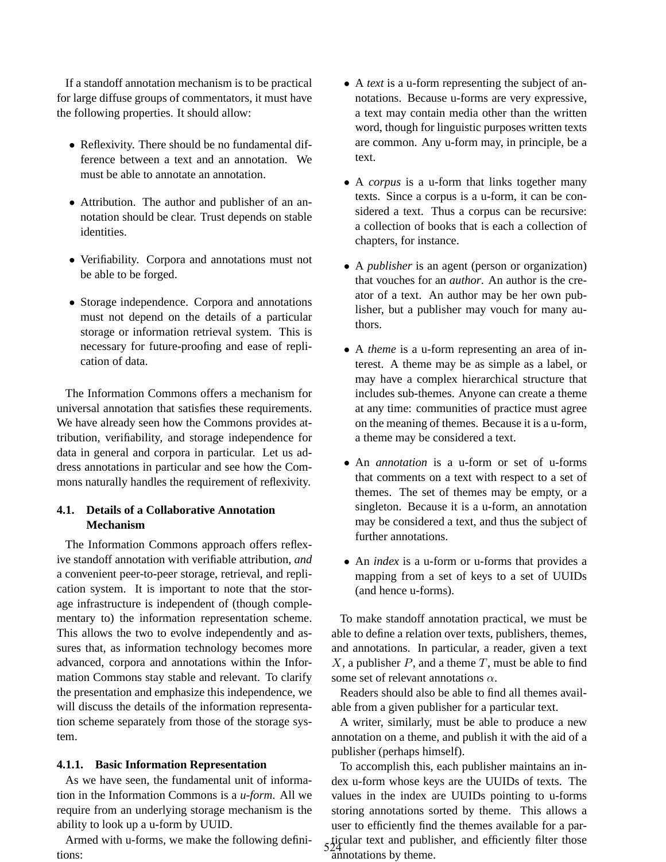If a standoff annotation mechanism is to be practical for large diffuse groups of commentators, it must have the following properties. It should allow:

- Reflexivity. There should be no fundamental difference between a text and an annotation. We must be able to annotate an annotation.
- Attribution. The author and publisher of an annotation should be clear. Trust depends on stable identities.
- Verifiability. Corpora and annotations must not be able to be forged.
- Storage independence. Corpora and annotations must not depend on the details of a particular storage or information retrieval system. This is necessary for future-proofing and ease of replication of data.

The Information Commons offers a mechanism for universal annotation that satisfies these requirements. We have already seen how the Commons provides attribution, verifiability, and storage independence for data in general and corpora in particular. Let us address annotations in particular and see how the Commons naturally handles the requirement of reflexivity.

# **4.1. Details of a Collaborative Annotation Mechanism**

The Information Commons approach offers reflexive standoff annotation with verifiable attribution, *and* a convenient peer-to-peer storage, retrieval, and replication system. It is important to note that the storage infrastructure is independent of (though complementary to) the information representation scheme. This allows the two to evolve independently and assures that, as information technology becomes more advanced, corpora and annotations within the Information Commons stay stable and relevant. To clarify the presentation and emphasize this independence, we will discuss the details of the information representation scheme separately from those of the storage system.

### **4.1.1. Basic Information Representation**

As we have seen, the fundamental unit of information in the Information Commons is a *u-form*. All we require from an underlying storage mechanism is the ability to look up a u-form by UUID.

Armed with u-forms, we make the following definitions:

- A *text* is a u-form representing the subject of annotations. Because u-forms are very expressive, a text may contain media other than the written word, though for linguistic purposes written texts are common. Any u-form may, in principle, be a text.
- A *corpus* is a u-form that links together many texts. Since a corpus is a u-form, it can be considered a text. Thus a corpus can be recursive: a collection of books that is each a collection of chapters, for instance.
- A *publisher* is an agent (person or organization) that vouches for an *author*. An author is the creator of a text. An author may be her own publisher, but a publisher may vouch for many authors.
- A *theme* is a u-form representing an area of interest. A theme may be as simple as a label, or may have a complex hierarchical structure that includes sub-themes. Anyone can create a theme at any time: communities of practice must agree on the meaning of themes. Because it is a u-form, a theme may be considered a text.
- An *annotation* is a u-form or set of u-forms that comments on a text with respect to a set of themes. The set of themes may be empty, or a singleton. Because it is a u-form, an annotation may be considered a text, and thus the subject of further annotations.
- An *index* is a u-form or u-forms that provides a mapping from a set of keys to a set of UUIDs (and hence u-forms).

To make standoff annotation practical, we must be able to define a relation over texts, publishers, themes, and annotations. In particular, a reader, given a text  $X$ , a publisher  $P$ , and a theme  $T$ , must be able to find some set of relevant annotations  $\alpha$ .

Readers should also be able to find all themes available from a given publisher for a particular text.

A writer, similarly, must be able to produce a new annotation on a theme, and publish it with the aid of a publisher (perhaps himself).

To accomplish this, each publisher maintains an index u-form whose keys are the UUIDs of texts. The values in the index are UUIDs pointing to u-forms storing annotations sorted by theme. This allows a user to efficiently find the themes available for a par- $524$  ticular text and publisher, and efficiently filter those annotations by theme.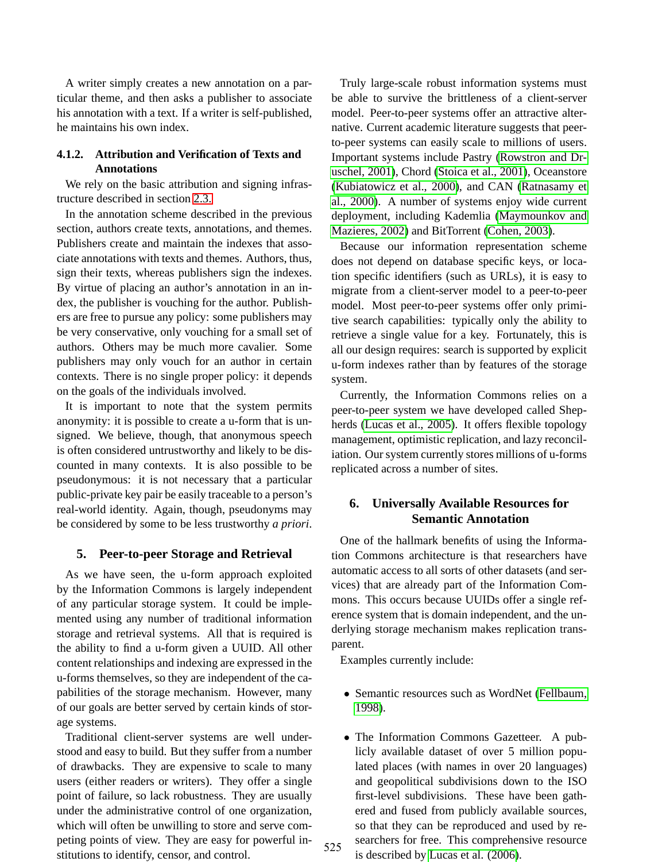A writer simply creates a new annotation on a particular theme, and then asks a publisher to associate his annotation with a text. If a writer is self-published, he maintains his own index.

# **4.1.2. Attribution and Verification of Texts and Annotations**

We rely on the basic attribution and signing infrastructure described in section [2.3.](#page-1-0)

In the annotation scheme described in the previous section, authors create texts, annotations, and themes. Publishers create and maintain the indexes that associate annotations with texts and themes. Authors, thus, sign their texts, whereas publishers sign the indexes. By virtue of placing an author's annotation in an index, the publisher is vouching for the author. Publishers are free to pursue any policy: some publishers may be very conservative, only vouching for a small set of authors. Others may be much more cavalier. Some publishers may only vouch for an author in certain contexts. There is no single proper policy: it depends on the goals of the individuals involved.

It is important to note that the system permits anonymity: it is possible to create a u-form that is unsigned. We believe, though, that anonymous speech is often considered untrustworthy and likely to be discounted in many contexts. It is also possible to be pseudonymous: it is not necessary that a particular public-private key pair be easily traceable to a person's real-world identity. Again, though, pseudonyms may be considered by some to be less trustworthy *a priori*.

### **5. Peer-to-peer Storage and Retrieval**

As we have seen, the u-form approach exploited by the Information Commons is largely independent of any particular storage system. It could be implemented using any number of traditional information storage and retrieval systems. All that is required is the ability to find a u-form given a UUID. All other content relationships and indexing are expressed in the u-forms themselves, so they are independent of the capabilities of the storage mechanism. However, many of our goals are better served by certain kinds of storage systems.

Traditional client-server systems are well understood and easy to build. But they suffer from a number of drawbacks. They are expensive to scale to many users (either readers or writers). They offer a single point of failure, so lack robustness. They are usually under the administrative control of one organization, which will often be unwilling to store and serve competing points of view. They are easy for powerful institutions to identify, censor, and control.

Truly large-scale robust information systems must be able to survive the brittleness of a client-server model. Peer-to-peer systems offer an attractive alternative. Current academic literature suggests that peerto-peer systems can easily scale to millions of users. Important systems include Pastry [\(Rowstron and Dr](#page-5-8)[uschel, 2001\)](#page-5-8), Chord [\(Stoica et al., 2001\)](#page-5-9), Oceanstore [\(Kubiatowicz et al., 2000\)](#page-5-10), and CAN [\(Ratnasamy et](#page-5-11) [al., 2000\)](#page-5-11). A number of systems enjoy wide current deployment, including Kademlia [\(Maymounkov and](#page-5-12) [Mazieres, 2002\)](#page-5-12) and BitTorrent [\(Cohen, 2003\)](#page-5-13).

Because our information representation scheme does not depend on database specific keys, or location specific identifiers (such as URLs), it is easy to migrate from a client-server model to a peer-to-peer model. Most peer-to-peer systems offer only primitive search capabilities: typically only the ability to retrieve a single value for a key. Fortunately, this is all our design requires: search is supported by explicit u-form indexes rather than by features of the storage system.

Currently, the Information Commons relies on a peer-to-peer system we have developed called Shepherds [\(Lucas et al., 2005\)](#page-5-14). It offers flexible topology management, optimistic replication, and lazy reconciliation. Our system currently stores millions of u-forms replicated across a number of sites.

# **6. Universally Available Resources for Semantic Annotation**

One of the hallmark benefits of using the Information Commons architecture is that researchers have automatic access to all sorts of other datasets (and services) that are already part of the Information Commons. This occurs because UUIDs offer a single reference system that is domain independent, and the underlying storage mechanism makes replication transparent.

Examples currently include:

- Semantic resources such as WordNet [\(Fellbaum,](#page-5-15) [1998\)](#page-5-15).
- The Information Commons Gazetteer. A publicly available dataset of over 5 million populated places (with names in over 20 languages) and geopolitical subdivisions down to the ISO first-level subdivisions. These have been gathered and fused from publicly available sources, so that they can be reproduced and used by researchers for free. This comprehensive resource 525 searchers for free. This comprener